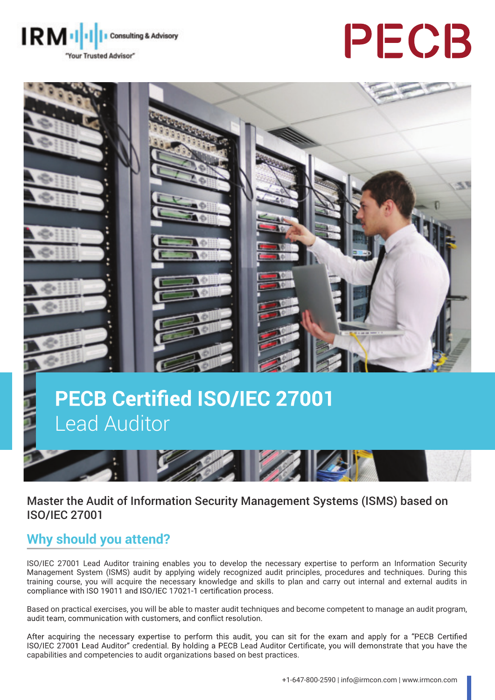





# **PECB Certified ISO/IEC 27001** Lead Auditor



### Master the Audit of Information Security Management Systems (ISMS) based on ISO/IEC 27001

## **Why should you attend?**

ISO/IEC 27001 Lead Auditor training enables you to develop the necessary expertise to perform an Information Security Management System (ISMS) audit by applying widely recognized audit principles, procedures and techniques. During this training course, you will acquire the necessary knowledge and skills to plan and carry out internal and external audits in compliance with ISO 19011 and ISO/IEC 17021-1 certification process.

Based on practical exercises, you will be able to master audit techniques and become competent to manage an audit program, audit team, communication with customers, and conflict resolution.

After acquiring the necessary expertise to perform this audit, you can sit for the exam and apply for a "PECB Certified ISO/IEC 27001 Lead Auditor" credential. By holding a PECB Lead Auditor Certificate, you will demonstrate that you have the capabilities and competencies to audit organizations based on best practices.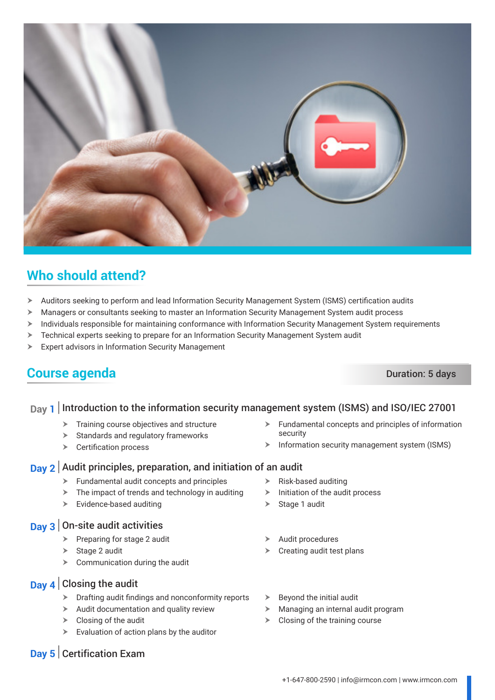

## **Who should attend?**

- > Auditors seeking to perform and lead Information Security Management System (ISMS) certification audits
- **K** Managers or consultants seeking to master an Information Security Management System audit process
- $\triangleright$  Individuals responsible for maintaining conformance with Information Security Management System requirements
- $\triangleright$  Technical experts seeking to prepare for an Information Security Management System audit
- $\triangleright$  Expert advisors in Information Security Management

## **Course agenda** Duration: 5 days

#### **Day 1** Introduction to the information security management system (ISMS) and ISO/IEC 27001

- $\blacktriangleright$  Training course objectives and structure
- $\triangleright$  Standards and regulatory frameworks
- $\triangleright$  Certification process

#### **Day 2** Audit principles, preparation, and initiation of an audit

- $\blacktriangleright$  Fundamental audit concepts and principles
- $\triangleright$  The impact of trends and technology in auditing
- $\triangleright$  Evidence-based auditing

#### **Day 3** On-site audit activities

- $\triangleright$  Preparing for stage 2 audit
- $\triangleright$  Stage 2 audit
- $\triangleright$  Communication during the audit
- **Day 4** Closing the audit
	- $\triangleright$  Drafting audit findings and nonconformity reports
	- $\blacktriangleright$  Audit documentation and quality review
	- $\triangleright$  Closing of the audit
	- $\triangleright$  Evaluation of action plans by the auditor
- $\blacktriangleright$  Fundamental concepts and principles of information security
- $\triangleright$  Information security management system (ISMS)
- $\triangleright$  Risk-based auditing
- $\blacktriangleright$  Initiation of the audit process
- 
- $\triangleright$  Stage 1 audit
- Audit procedures
- $\triangleright$  Creating audit test plans
- $\triangleright$  Beyond the initial audit
- $\blacktriangleright$  Managing an internal audit program
- $\triangleright$  Closing of the training course

**Day 5** Certification Exam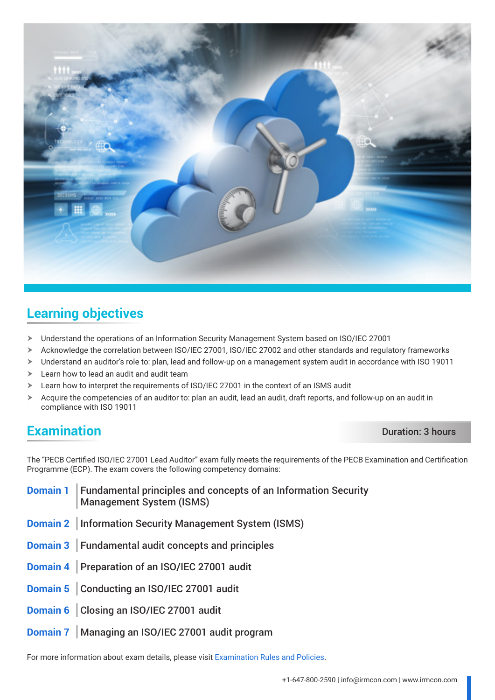

## **Learning objectives**

- $\triangleright$  Understand the operations of an Information Security Management System based on ISO/IEC 27001
- $\triangleright$  Acknowledge the correlation between ISO/IEC 27001, ISO/IEC 27002 and other standards and regulatory frameworks
- $\triangleright$  Understand an auditor's role to: plan, lead and follow-up on a management system audit in accordance with ISO 19011
- $\blacktriangleright$  Learn how to lead an audit and audit team
- $\geq$  Learn how to interpret the requirements of ISO/IEC 27001 in the context of an ISMS audit
- $\triangleright$  Acquire the competencies of an auditor to: plan an audit, lead an audit, draft reports, and follow-up on an audit in compliance with ISO 19011

## **Examination** Duration: 3 hours

The "PECB Certified ISO/IEC 27001 Lead Auditor" exam fully meets the requirements of the PECB Examination and Certification Programme (ECP). The exam covers the following competency domains:

**Domain 1** Fundamental principles and concepts of an Information Security Management System (ISMS) **Domain 2** | Information Security Management System (ISMS) **Domain 3** Fundamental audit concepts and principles **Domain 4** Preparation of an ISO/IEC 27001 audit **Domain 5** Conducting an ISO/IEC 27001 audit **Domain 6** Closing an ISO/IEC 27001 audit **Domain 7** Managing an ISO/IEC 27001 audit program

For more information about exam details, please visit [Examination Rules and Policies](https://pecb.com/en/examination-rules-and-policies).